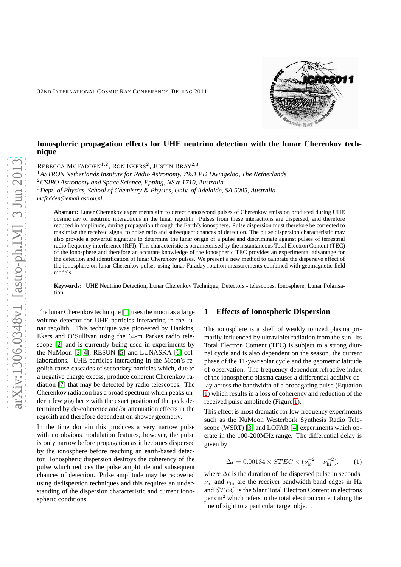# mie Ray

# **Ionospheric propagation effects for UHE neutrino detection with the lunar Cherenkov technique**

REBECCA  $\mathrm{McFADDEN}^{1,2}$ , Ron Ekers $^2$ , Justin Bray $^{2,3}$ 

<sup>1</sup>*ASTRON Netherlands Institute for Radio Astronomy, 7991 PD Dwingeloo, The Netherlands* <sup>2</sup>*CSIRO Astronomy and Space Science, Epping, NSW 1710, Australia*

<sup>3</sup>*Dept. of Physics, School of Chemistry & Physics, Univ. of Adelaide, SA 5005, Australia mcfadden@email.astron.nl*

**Abstract:** Lunar Cherenkov experiments aim to detect nanosecond pulses of Cherenkov emission produced during UHE cosmic ray or neutrino interactions in the lunar regolith. Pulses from these interactions are dispersed, and therefore reduced in amplitude, during propagation through the Earth's ionosphere. Pulse dispersion must therefore be corrected to maximise the received signal to noise ratio and subsequent chances of detection. The pulse dispersion characteristic may also provide a powerful signature to determine the lunar origin of a pulse and discriminate against pulses of terrestrial radio frequency interference (RFI). This characteristic is parameterised by the instantaneous Total Electron Content (TEC) of the ionosphere and therefore an accurate knowledge of the ionospheric TEC provides an experimental advantage for the detection and identification of lunar Cherenkov pulses. We present a new method to calibrate the dispersive effect of the ionosphere on lunar Cherenkov pulses using lunar Faraday rotation measurements combined with geomagnetic field models.

**Keywords:** UHE Neutrino Detection, Lunar Cherenkov Technique, Detectors - telescopes, Ionosphere, Lunar Polarisation

The lunar Cherenkov technique [\[1\]](#page-3-0) uses the moon as a large volume detector for UHE particles interacting in the lunar regolith. This technique was pioneered by Hankins, Ekers and O'Sullivan using the 64-m Parkes radio telescope [\[2\]](#page-3-1) and is currently being used in experiments by the NuMoon [\[3,](#page-3-2) [4\]](#page-3-3), RESUN [\[5\]](#page-3-4) and LUNASKA [\[6\]](#page-3-5) collaborations. UHE particles interacting in the Moon's regolith cause cascades of secondary particles which, due to a negative charge excess, produce coherent Cherenkov radiation [\[7\]](#page-3-6) that may be detected by radio telescopes. The Cherenkov radiation has a broad spectrum which peaks under a few gigahertz with the exact position of the peak determined by de-coherence and/or attenuation effects in the regolith and therefore dependent on shower geometry.

In the time domain this produces a very narrow pulse with no obvious modulation features, however, the pulse is only narrow before propagation as it becomes dispersed by the ionosphere before reaching an earth-based detector. Ionospheric dispersion destroys the coherency of the pulse which reduces the pulse amplitude and subsequent chances of detection. Pulse amplitude may be recovered using dedispersion techniques and this requires an understanding of the dispersion characteristic and current ionospheric conditions.

### **1 Effects of Ionospheric Dispersion**

The ionosphere is a shell of weakly ionized plasma primarily influenced by ultraviolet radiation from the sun. Its Total Electron Content (TEC) is subject to a strong diurnal cycle and is also dependent on the season, the current phase of the 11-year solar cycle and the geometric latitude of observation. The frequency-dependent refractive index of the ionospheric plasma causes a differential additive delay across the bandwidth of a propagating pulse (Equation [1\)](#page-0-0) which results in a loss of coherency and reduction of the received pulse amplitude (Figure [1\)](#page-1-0).

This effect is most dramatic for low frequency experiments such as the NuMoon Westerbork Synthesis Radio Telescope (WSRT) [\[3\]](#page-3-2) and LOFAR [\[4\]](#page-3-3) experiments which operate in the 100-200MHz range. The differential delay is given by

<span id="page-0-0"></span>
$$
\Delta t = 0.00134 \times STEC \times (\nu_{\text{lo}}^{-2} - \nu_{\text{hi}}^{-2}), \quad (1)
$$

where  $\Delta t$  is the duration of the dispersed pulse in seconds,  $\nu_{\text{lo}}$  and  $\nu_{\text{hi}}$  are the receiver bandwidth band edges in Hz and ST EC is the Slant Total Electron Content in electrons per  $\text{cm}^2$  which refers to the total electron content along the line of sight to a particular target object.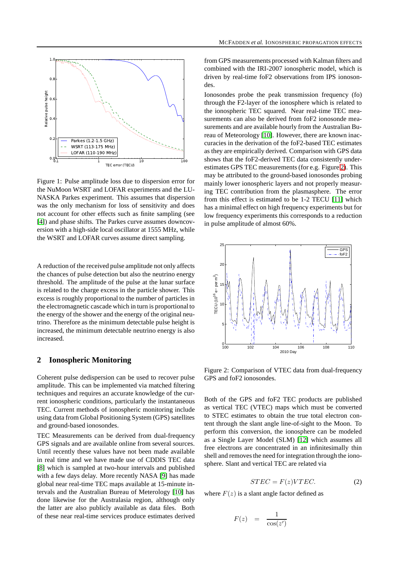

<span id="page-1-0"></span>Figure 1: Pulse amplitude loss due to dispersion error for the NuMoon WSRT and LOFAR experiments and the LU-NASKA Parkes experiment. This assumes that dispersion was the only mechanism for loss of sensitivity and does not account for other effects such as finite sampling (see [\[4\]](#page-3-3)) and phase shifts. The Parkes curve assumes downcoversion with a high-side local oscillator at 1555 MHz, while the WSRT and LOFAR curves assume direct sampling.

A reduction of the received pulse amplitude not only affects the chances of pulse detection but also the neutrino energy threshold. The amplitude of the pulse at the lunar surface is related to the charge excess in the particle shower. This excess is roughly proportional to the number of particles in the electromagnetic cascade which in turn is proportional to the energy of the shower and the energy of the original neutrino. Therefore as the minimum detectable pulse height is increased, the minimum detectable neutrino energy is also increased.

### **2 Ionospheric Monitoring**

Coherent pulse dedispersion can be used to recover pulse amplitude. This can be implemented via matched filtering techniques and requires an accurate knowledge of the current ionospheric conditions, particularly the instantaneous TEC. Current methods of ionospheric monitoring include using data from Global Positioning System (GPS) satellites and ground-based ionosondes.

TEC Measurements can be derived from dual-frequency GPS signals and are available online from several sources. Until recently these values have not been made available in real time and we have made use of CDDIS TEC data [\[8\]](#page-3-7) which is sampled at two-hour intervals and published with a few days delay. More recently NASA [\[9\]](#page-3-8) has made global near real-time TEC maps available at 15-minute intervals and the Australian Bureau of Meterology [\[10\]](#page-3-9) has done likewise for the Australasia region, although only the latter are also publicly available as data files. Both of these near real-time services produce estimates derived from GPS measurements processed with Kalman filters and combined with the IRI-2007 ionospheric model, which is driven by real-time foF2 observations from IPS ionosondes.

Ionosondes probe the peak transmission frequency (fo) through the F2-layer of the ionosphere which is related to the ionospheric TEC squared. Near real-time TEC measurements can also be derived from foF2 ionosonde measurements and are available hourly from the Australian Bureau of Meteorology [\[10\]](#page-3-9). However, there are known inaccuracies in the derivation of the foF2-based TEC estimates as they are empirically derived. Comparison with GPS data shows that the foF2-derived TEC data consistently underestimates GPS TEC measurements (for e.g. Figure [2\)](#page-1-1). This may be attributed to the ground-based ionosondes probing mainly lower ionospheric layers and not properly measuring TEC contribution from the plasmasphere. The error from this effect is estimated to be 1-2 TECU [\[11\]](#page-3-10) which has a minimal effect on high frequency experiments but for low frequency experiments this corresponds to a reduction in pulse amplitude of almost 60%.



<span id="page-1-1"></span>Figure 2: Comparison of VTEC data from dual-frequency GPS and foF2 ionosondes.

Both of the GPS and foF2 TEC products are published as vertical TEC (VTEC) maps which must be converted to STEC estimates to obtain the true total electron content through the slant angle line-of-sight to the Moon. To perform this conversion, the ionosphere can be modeled as a Single Layer Model (SLM) [\[12\]](#page-3-11) which assumes all free electrons are concentrated in an infinitesimally thin shell and removes the need for integration through the ionosphere. Slant and vertical TEC are related via

$$
STEC = F(z) VTEC.
$$
 (2)

where  $F(z)$  is a slant angle factor defined as

$$
F(z) = \frac{1}{\cos(z')}
$$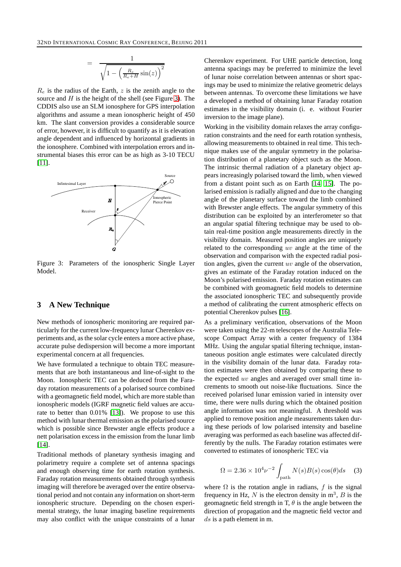$$
= \frac{1}{\sqrt{1 - \left(\frac{R_e}{R_e + H} \sin(z)\right)^2}}
$$

 $R_e$  is the radius of the Earth, z is the zenith angle to the source and  $H$  is the height of the shell (see Figure [3\)](#page-2-0). The CDDIS also use an SLM ionosphere for GPS interpolation algorithms and assume a mean ionospheric height of 450 km. The slant conversion provides a considerable source of error, however, it is difficult to quantify as it is elevation angle dependent and influenced by horizontal gradients in the ionosphere. Combined with interpolation errors and instrumental biases this error can be as high as 3-10 TECU [\[11\]](#page-3-10).



<span id="page-2-0"></span>Figure 3: Parameters of the ionospheric Single Layer Model.

# **3 A New Technique**

New methods of ionospheric monitoring are required particularly for the current low-frequency lunar Cherenkov experiments and, as the solar cycle enters a more active phase, accurate pulse dedispersion will become a more important experimental concern at all frequencies.

We have formulated a technique to obtain TEC measurements that are both instantaneous and line-of-sight to the Moon. Ionospheric TEC can be deduced from the Faraday rotation measurements of a polarised source combined with a geomagnetic field model, which are more stable than ionospheric models (IGRF magnetic field values are accurate to better than 0.01% [\[13\]](#page-3-12)). We propose to use this method with lunar thermal emission as the polarised source which is possible since Brewster angle effects produce a nett polarisation excess in the emission from the lunar limb [\[14\]](#page-3-13).

Traditional methods of planetary synthesis imaging and polarimetry require a complete set of antenna spacings and enough observing time for earth rotation synthesis. Faraday rotation measurements obtained through synthesis imaging will therefore be averaged over the entire observational period and not contain any information on short-term ionospheric structure. Depending on the chosen experimental strategy, the lunar imaging baseline requirements may also conflict with the unique constraints of a lunar Cherenkov experiment. For UHE particle detection, long antenna spacings may be preferred to minimize the level of lunar noise correlation between antennas or short spacings may be used to minimize the relative geometric delays between antennas. To overcome these limitations we have a developed a method of obtaining lunar Faraday rotation estimates in the visibility domain (i. e. without Fourier inversion to the image plane).

Working in the visibility domain relaxes the array configuration constraints and the need for earth rotation synthesis, allowing measurements to obtained in real time. This technique makes use of the angular symmetry in the polarisation distribution of a planetary object such as the Moon. The intrinsic thermal radiation of a planetary object appears increasingly polarised toward the limb, when viewed from a distant point such as on Earth [\[14,](#page-3-13) [15\]](#page-3-14). The polarised emission is radially aligned and due to the changing angle of the planetary surface toward the limb combined with Brewster angle effects. The angular symmetry of this distribution can be exploited by an interferometer so that an angular spatial filtering technique may be used to obtain real-time position angle measurements directly in the visibility domain. Measured position angles are uniquely related to the corresponding uv angle at the time of the observation and comparison with the expected radial position angles, given the current  $uv$  angle of the observation, gives an estimate of the Faraday rotation induced on the Moon's polarised emission. Faraday rotation estimates can be combined with geomagnetic field models to determine the associated ionospheric TEC and subsequently provide a method of calibrating the current atmospheric effects on potential Cherenkov pulses [\[16\]](#page-3-15).

As a preliminary verification, observations of the Moon were taken using the 22-m telescopes of the Australia Telescope Compact Array with a center frequency of 1384 MHz. Using the angular spatial filtering technique, instantaneous position angle estimates were calculated directly in the visibility domain of the lunar data. Faraday rotation estimates were then obtained by comparing these to the expected uv angles and averaged over small time increments to smooth out noise-like fluctuations. Since the received polarised lunar emission varied in intensity over time, there were nulls during which the obtained position angle information was not meaningful. A threshold was applied to remove position angle measurements taken during these periods of low polarised intensity and baseline averaging was performed as each baseline was affected differently by the nulls. The Faraday rotation estimates were converted to estimates of ionospheric TEC via

$$
\Omega = 2.36 \times 10^4 \nu^{-2} \int_{\text{path}} N(s)B(s)\cos(\theta)ds \quad (3)
$$

where  $\Omega$  is the rotation angle in radians, f is the signal frequency in Hz, N is the electron density in  $m^3$ , B is the geomagnetic field strength in T,  $\theta$  is the angle between the direction of propagation and the magnetic field vector and  $ds$  is a path element in m.